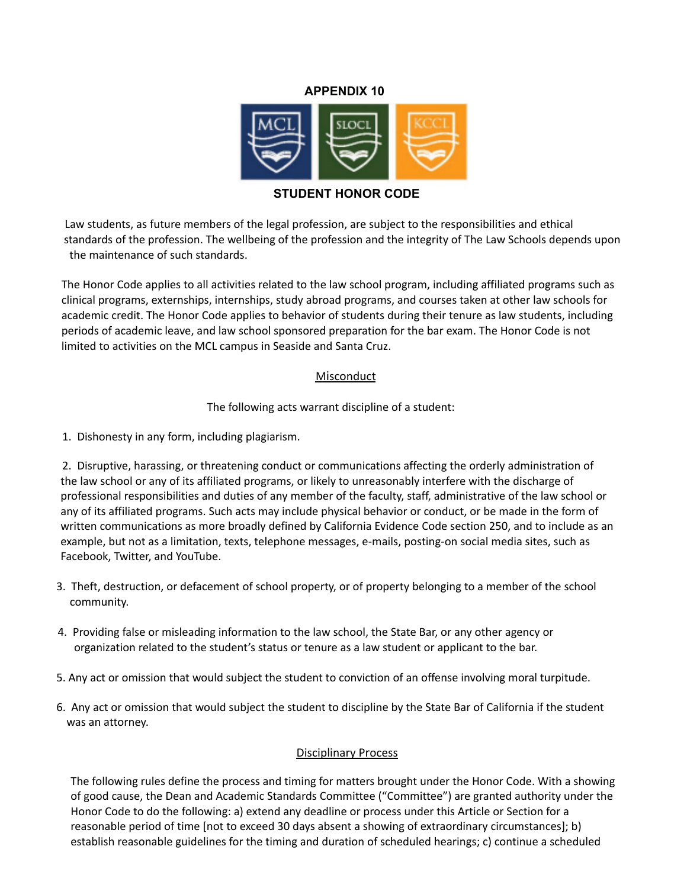## **APPENDIX 10**



### **STUDENT HONOR CODE**

Law students, as future members of the legal profession, are subject to the responsibilities and ethical standards of the profession. The wellbeing of the profession and the integrity of The Law Schools depends upon the maintenance of such standards.

The Honor Code applies to all activities related to the law school program, including affiliated programs such as clinical programs, externships, internships, study abroad programs, and courses taken at other law schools for academic credit. The Honor Code applies to behavior of students during their tenure as law students, including periods of academic leave, and law school sponsored preparation for the bar exam. The Honor Code is not limited to activities on the MCL campus in Seaside and Santa Cruz.

#### **Misconduct**

The following acts warrant discipline of a student:

1. Dishonesty in any form, including plagiarism.

2. Disruptive, harassing, or threatening conduct or communications affecting the orderly administration of the law school or any of its affiliated programs, or likely to unreasonably interfere with the discharge of professional responsibilities and duties of any member of the faculty, staff, administrative of the law school or any of its affiliated programs. Such acts may include physical behavior or conduct, or be made in the form of written communications as more broadly defined by California Evidence Code section 250, and to include as an example, but not as a limitation, texts, telephone messages, e-mails, posting-on social media sites, such as Facebook, Twitter, and YouTube.

- 3. Theft, destruction, or defacement of school property, or of property belonging to a member of the school community.
- 4. Providing false or misleading information to the law school, the State Bar, or any other agency or organization related to the student's status or tenure as a law student or applicant to the bar.
- 5. Any act or omission that would subject the student to conviction of an offense involving moral turpitude.
- 6. Any act or omission that would subject the student to discipline by the State Bar of California if the student was an attorney.

# Disciplinary Process

The following rules define the process and timing for matters brought under the Honor Code. With a showing of good cause, the Dean and Academic Standards Committee ("Committee") are granted authority under the Honor Code to do the following: a) extend any deadline or process under this Article or Section for a reasonable period of time [not to exceed 30 days absent a showing of extraordinary circumstances]; b) establish reasonable guidelines for the timing and duration of scheduled hearings; c) continue a scheduled